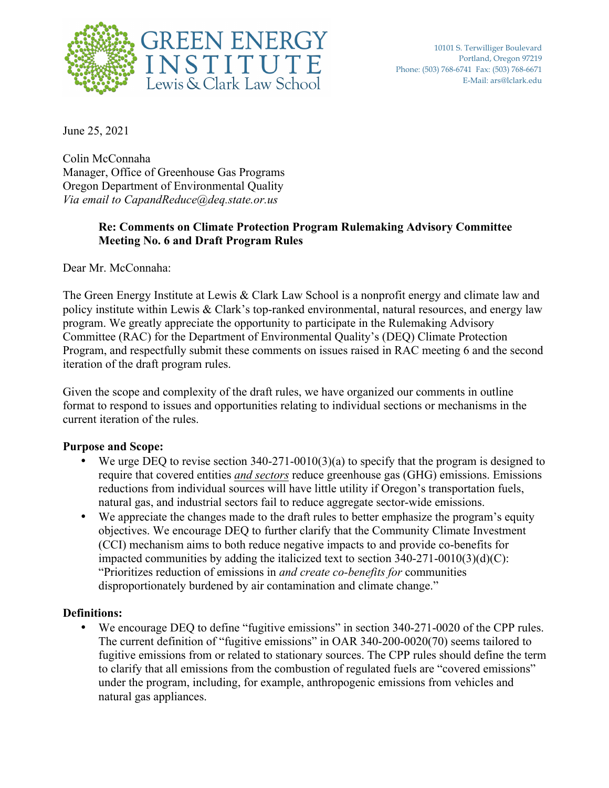

June 25, 2021

Colin McConnaha Manager, Office of Greenhouse Gas Programs Oregon Department of Environmental Quality *Via email to CapandReduce@deq.state.or.us* 

# **Re: Comments on Climate Protection Program Rulemaking Advisory Committee Meeting No. 6 and Draft Program Rules**

Dear Mr. McConnaha:

The Green Energy Institute at Lewis & Clark Law School is a nonprofit energy and climate law and policy institute within Lewis & Clark's top-ranked environmental, natural resources, and energy law program. We greatly appreciate the opportunity to participate in the Rulemaking Advisory Committee (RAC) for the Department of Environmental Quality's (DEQ) Climate Protection Program, and respectfully submit these comments on issues raised in RAC meeting 6 and the second iteration of the draft program rules.

Given the scope and complexity of the draft rules, we have organized our comments in outline format to respond to issues and opportunities relating to individual sections or mechanisms in the current iteration of the rules.

### **Purpose and Scope:**

- We urge DEQ to revise section  $340-271-0010(3)(a)$  to specify that the program is designed to require that covered entities *and sectors* reduce greenhouse gas (GHG) emissions. Emissions reductions from individual sources will have little utility if Oregon's transportation fuels, natural gas, and industrial sectors fail to reduce aggregate sector-wide emissions.
- We appreciate the changes made to the draft rules to better emphasize the program's equity objectives. We encourage DEQ to further clarify that the Community Climate Investment (CCI) mechanism aims to both reduce negative impacts to and provide co-benefits for impacted communities by adding the italicized text to section  $340-271-0010(3)(d)(C)$ : "Prioritizes reduction of emissions in *and create co-benefits for* communities disproportionately burdened by air contamination and climate change."

### **Definitions:**

• We encourage DEQ to define "fugitive emissions" in section 340-271-0020 of the CPP rules. The current definition of "fugitive emissions" in OAR 340-200-0020(70) seems tailored to fugitive emissions from or related to stationary sources. The CPP rules should define the term to clarify that all emissions from the combustion of regulated fuels are "covered emissions" under the program, including, for example, anthropogenic emissions from vehicles and natural gas appliances.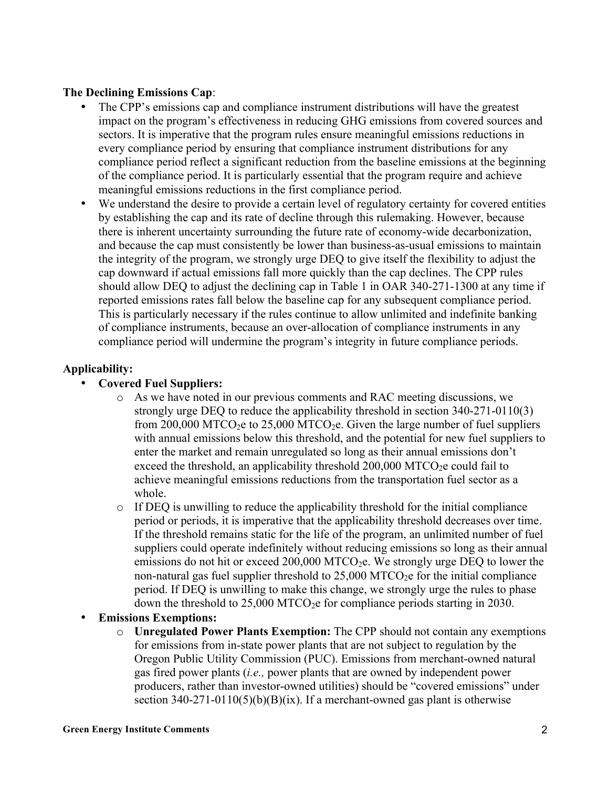### **The Declining Emissions Cap**:

- The CPP's emissions cap and compliance instrument distributions will have the greatest impact on the program's effectiveness in reducing GHG emissions from covered sources and sectors. It is imperative that the program rules ensure meaningful emissions reductions in every compliance period by ensuring that compliance instrument distributions for any compliance period reflect a significant reduction from the baseline emissions at the beginning of the compliance period. It is particularly essential that the program require and achieve meaningful emissions reductions in the first compliance period.
- We understand the desire to provide a certain level of regulatory certainty for covered entities by establishing the cap and its rate of decline through this rulemaking. However, because there is inherent uncertainty surrounding the future rate of economy-wide decarbonization, and because the cap must consistently be lower than business-as-usual emissions to maintain the integrity of the program, we strongly urge DEQ to give itself the flexibility to adjust the cap downward if actual emissions fall more quickly than the cap declines. The CPP rules should allow DEQ to adjust the declining cap in Table 1 in OAR 340-271-1300 at any time if reported emissions rates fall below the baseline cap for any subsequent compliance period. This is particularly necessary if the rules continue to allow unlimited and indefinite banking of compliance instruments, because an over-allocation of compliance instruments in any compliance period will undermine the program's integrity in future compliance periods.

#### **Applicability:**

### • **Covered Fuel Suppliers:**

- o As we have noted in our previous comments and RAC meeting discussions, we strongly urge DEQ to reduce the applicability threshold in section 340-271-0110(3) from 200,000 MTCO<sub>2</sub>e to 25,000 MTCO<sub>2</sub>e. Given the large number of fuel suppliers with annual emissions below this threshold, and the potential for new fuel suppliers to enter the market and remain unregulated so long as their annual emissions don't exceed the threshold, an applicability threshold  $200,000$  MTCO<sub>2</sub>e could fail to achieve meaningful emissions reductions from the transportation fuel sector as a whole.
- $\circ$  If DEO is unwilling to reduce the applicability threshold for the initial compliance period or periods, it is imperative that the applicability threshold decreases over time. If the threshold remains static for the life of the program, an unlimited number of fuel suppliers could operate indefinitely without reducing emissions so long as their annual emissions do not hit or exceed 200,000 MTCO<sub>2</sub>e. We strongly urge DEQ to lower the non-natural gas fuel supplier threshold to  $25,000$  MTCO<sub>2</sub>e for the initial compliance period. If DEQ is unwilling to make this change, we strongly urge the rules to phase down the threshold to  $25,000$  MTCO<sub>2</sub>e for compliance periods starting in 2030.
- **Emissions Exemptions:**
	- o **Unregulated Power Plants Exemption:** The CPP should not contain any exemptions for emissions from in-state power plants that are not subject to regulation by the Oregon Public Utility Commission (PUC). Emissions from merchant-owned natural gas fired power plants (*i.e.,* power plants that are owned by independent power producers, rather than investor-owned utilities) should be "covered emissions" under section  $340-271-0110(5)(b)(B)(ix)$ . If a merchant-owned gas plant is otherwise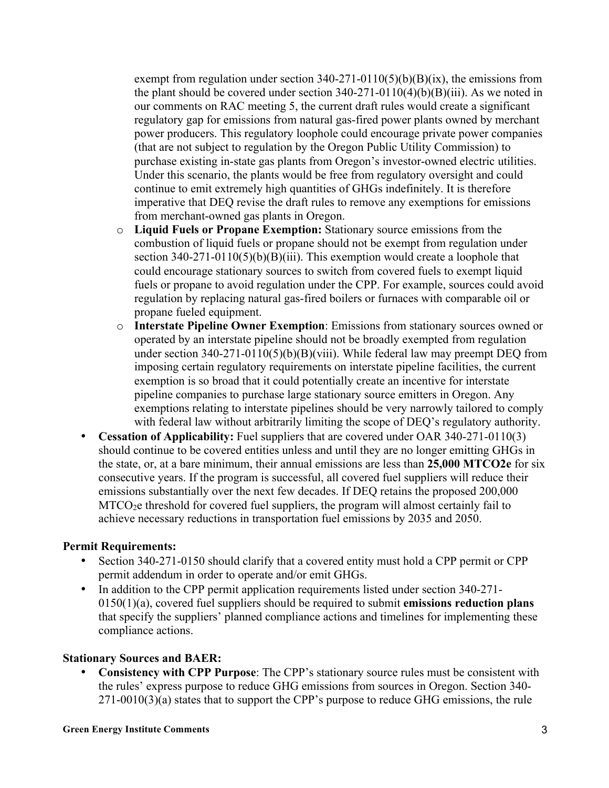exempt from regulation under section  $340-271-0110(5)(b)(B)(ix)$ , the emissions from the plant should be covered under section  $340-271-0110(4)(b)(B)(iii)$ . As we noted in our comments on RAC meeting 5, the current draft rules would create a significant regulatory gap for emissions from natural gas-fired power plants owned by merchant power producers. This regulatory loophole could encourage private power companies (that are not subject to regulation by the Oregon Public Utility Commission) to purchase existing in-state gas plants from Oregon's investor-owned electric utilities. Under this scenario, the plants would be free from regulatory oversight and could continue to emit extremely high quantities of GHGs indefinitely. It is therefore imperative that DEQ revise the draft rules to remove any exemptions for emissions from merchant-owned gas plants in Oregon.

- o **Liquid Fuels or Propane Exemption:** Stationary source emissions from the combustion of liquid fuels or propane should not be exempt from regulation under section  $340-271-0110(5)(b)(B)(iii)$ . This exemption would create a loophole that could encourage stationary sources to switch from covered fuels to exempt liquid fuels or propane to avoid regulation under the CPP. For example, sources could avoid regulation by replacing natural gas-fired boilers or furnaces with comparable oil or propane fueled equipment.
- o **Interstate Pipeline Owner Exemption**: Emissions from stationary sources owned or operated by an interstate pipeline should not be broadly exempted from regulation under section 340-271-0110(5)(b)(B)(viii). While federal law may preempt DEQ from imposing certain regulatory requirements on interstate pipeline facilities, the current exemption is so broad that it could potentially create an incentive for interstate pipeline companies to purchase large stationary source emitters in Oregon. Any exemptions relating to interstate pipelines should be very narrowly tailored to comply with federal law without arbitrarily limiting the scope of DEQ's regulatory authority.
- **Cessation of Applicability:** Fuel suppliers that are covered under OAR 340-271-0110(3) should continue to be covered entities unless and until they are no longer emitting GHGs in the state, or, at a bare minimum, their annual emissions are less than **25,000 MTCO2e** for six consecutive years. If the program is successful, all covered fuel suppliers will reduce their emissions substantially over the next few decades. If DEQ retains the proposed 200,000 MTCO<sub>2</sub>e threshold for covered fuel suppliers, the program will almost certainly fail to achieve necessary reductions in transportation fuel emissions by 2035 and 2050.

### **Permit Requirements:**

- Section 340-271-0150 should clarify that a covered entity must hold a CPP permit or CPP permit addendum in order to operate and/or emit GHGs.
- In addition to the CPP permit application requirements listed under section 340-271-0150(1)(a), covered fuel suppliers should be required to submit **emissions reduction plans** that specify the suppliers' planned compliance actions and timelines for implementing these compliance actions.

#### **Stationary Sources and BAER:**

• **Consistency with CPP Purpose**: The CPP's stationary source rules must be consistent with the rules' express purpose to reduce GHG emissions from sources in Oregon. Section 340- 271-0010(3)(a) states that to support the CPP's purpose to reduce GHG emissions, the rule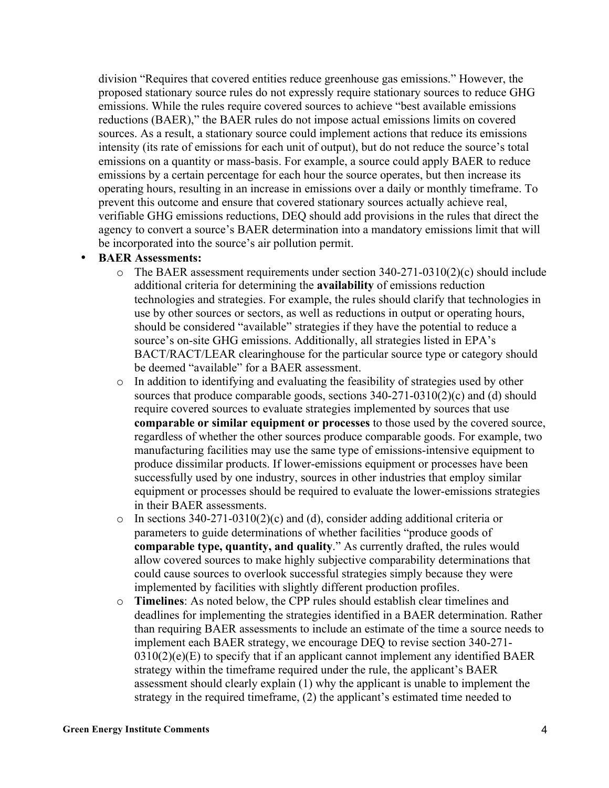division "Requires that covered entities reduce greenhouse gas emissions." However, the proposed stationary source rules do not expressly require stationary sources to reduce GHG emissions. While the rules require covered sources to achieve "best available emissions reductions (BAER)," the BAER rules do not impose actual emissions limits on covered sources. As a result, a stationary source could implement actions that reduce its emissions intensity (its rate of emissions for each unit of output), but do not reduce the source's total emissions on a quantity or mass-basis. For example, a source could apply BAER to reduce emissions by a certain percentage for each hour the source operates, but then increase its operating hours, resulting in an increase in emissions over a daily or monthly timeframe. To prevent this outcome and ensure that covered stationary sources actually achieve real, verifiable GHG emissions reductions, DEQ should add provisions in the rules that direct the agency to convert a source's BAER determination into a mandatory emissions limit that will be incorporated into the source's air pollution permit.

#### • **BAER Assessments:**

- $\circ$  The BAER assessment requirements under section 340-271-0310(2)(c) should include additional criteria for determining the **availability** of emissions reduction technologies and strategies. For example, the rules should clarify that technologies in use by other sources or sectors, as well as reductions in output or operating hours, should be considered "available" strategies if they have the potential to reduce a source's on-site GHG emissions. Additionally, all strategies listed in EPA's BACT/RACT/LEAR clearinghouse for the particular source type or category should be deemed "available" for a BAER assessment.
- o In addition to identifying and evaluating the feasibility of strategies used by other sources that produce comparable goods, sections 340-271-0310(2)(c) and (d) should require covered sources to evaluate strategies implemented by sources that use **comparable or similar equipment or processes** to those used by the covered source, regardless of whether the other sources produce comparable goods. For example, two manufacturing facilities may use the same type of emissions-intensive equipment to produce dissimilar products. If lower-emissions equipment or processes have been successfully used by one industry, sources in other industries that employ similar equipment or processes should be required to evaluate the lower-emissions strategies in their BAER assessments.
- o In sections 340-271-0310(2)(c) and (d), consider adding additional criteria or parameters to guide determinations of whether facilities "produce goods of **comparable type, quantity, and quality**." As currently drafted, the rules would allow covered sources to make highly subjective comparability determinations that could cause sources to overlook successful strategies simply because they were implemented by facilities with slightly different production profiles.
- o **Timelines**: As noted below, the CPP rules should establish clear timelines and deadlines for implementing the strategies identified in a BAER determination. Rather than requiring BAER assessments to include an estimate of the time a source needs to implement each BAER strategy, we encourage DEQ to revise section 340-271-  $0310(2)(e)$  to specify that if an applicant cannot implement any identified BAER strategy within the timeframe required under the rule, the applicant's BAER assessment should clearly explain (1) why the applicant is unable to implement the strategy in the required timeframe, (2) the applicant's estimated time needed to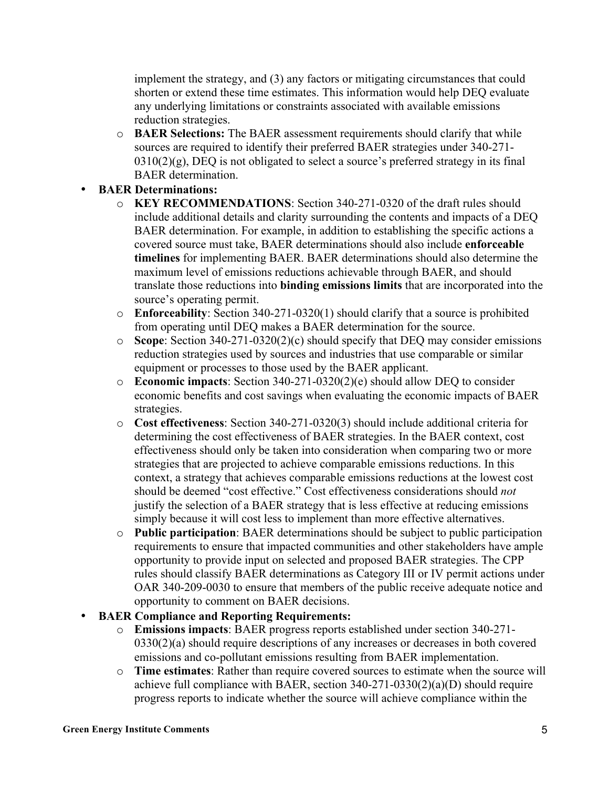implement the strategy, and (3) any factors or mitigating circumstances that could shorten or extend these time estimates. This information would help DEQ evaluate any underlying limitations or constraints associated with available emissions reduction strategies.

o **BAER Selections:** The BAER assessment requirements should clarify that while sources are required to identify their preferred BAER strategies under 340-271-  $0310(2)(g)$ , DEQ is not obligated to select a source's preferred strategy in its final BAER determination.

### • **BAER Determinations:**

- o **KEY RECOMMENDATIONS**: Section 340-271-0320 of the draft rules should include additional details and clarity surrounding the contents and impacts of a DEQ BAER determination. For example, in addition to establishing the specific actions a covered source must take, BAER determinations should also include **enforceable timelines** for implementing BAER. BAER determinations should also determine the maximum level of emissions reductions achievable through BAER, and should translate those reductions into **binding emissions limits** that are incorporated into the source's operating permit.
- o **Enforceability**: Section 340-271-0320(1) should clarify that a source is prohibited from operating until DEQ makes a BAER determination for the source.
- o **Scope**: Section 340-271-0320(2)(c) should specify that DEQ may consider emissions reduction strategies used by sources and industries that use comparable or similar equipment or processes to those used by the BAER applicant.
- o **Economic impacts**: Section 340-271-0320(2)(e) should allow DEQ to consider economic benefits and cost savings when evaluating the economic impacts of BAER strategies.
- o **Cost effectiveness**: Section 340-271-0320(3) should include additional criteria for determining the cost effectiveness of BAER strategies. In the BAER context, cost effectiveness should only be taken into consideration when comparing two or more strategies that are projected to achieve comparable emissions reductions. In this context, a strategy that achieves comparable emissions reductions at the lowest cost should be deemed "cost effective." Cost effectiveness considerations should *not* justify the selection of a BAER strategy that is less effective at reducing emissions simply because it will cost less to implement than more effective alternatives.
- o **Public participation**: BAER determinations should be subject to public participation requirements to ensure that impacted communities and other stakeholders have ample opportunity to provide input on selected and proposed BAER strategies. The CPP rules should classify BAER determinations as Category III or IV permit actions under OAR 340-209-0030 to ensure that members of the public receive adequate notice and opportunity to comment on BAER decisions.

#### • **BAER Compliance and Reporting Requirements:**

- o **Emissions impacts**: BAER progress reports established under section 340-271- 0330(2)(a) should require descriptions of any increases or decreases in both covered emissions and co-pollutant emissions resulting from BAER implementation.
- o **Time estimates**: Rather than require covered sources to estimate when the source will achieve full compliance with BAER, section 340-271-0330(2)(a)(D) should require progress reports to indicate whether the source will achieve compliance within the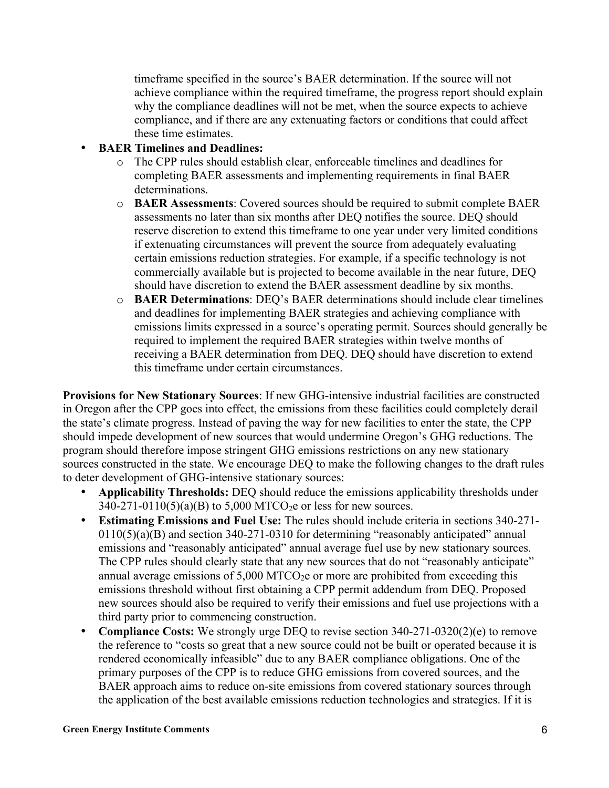timeframe specified in the source's BAER determination. If the source will not achieve compliance within the required timeframe, the progress report should explain why the compliance deadlines will not be met, when the source expects to achieve compliance, and if there are any extenuating factors or conditions that could affect these time estimates.

- **BAER Timelines and Deadlines:**
	- o The CPP rules should establish clear, enforceable timelines and deadlines for completing BAER assessments and implementing requirements in final BAER determinations.
	- o **BAER Assessments**: Covered sources should be required to submit complete BAER assessments no later than six months after DEQ notifies the source. DEQ should reserve discretion to extend this timeframe to one year under very limited conditions if extenuating circumstances will prevent the source from adequately evaluating certain emissions reduction strategies. For example, if a specific technology is not commercially available but is projected to become available in the near future, DEQ should have discretion to extend the BAER assessment deadline by six months.
	- o **BAER Determinations**: DEQ's BAER determinations should include clear timelines and deadlines for implementing BAER strategies and achieving compliance with emissions limits expressed in a source's operating permit. Sources should generally be required to implement the required BAER strategies within twelve months of receiving a BAER determination from DEQ. DEQ should have discretion to extend this timeframe under certain circumstances.

**Provisions for New Stationary Sources**: If new GHG-intensive industrial facilities are constructed in Oregon after the CPP goes into effect, the emissions from these facilities could completely derail the state's climate progress. Instead of paving the way for new facilities to enter the state, the CPP should impede development of new sources that would undermine Oregon's GHG reductions. The program should therefore impose stringent GHG emissions restrictions on any new stationary sources constructed in the state. We encourage DEQ to make the following changes to the draft rules to deter development of GHG-intensive stationary sources:

- **Applicability Thresholds:** DEQ should reduce the emissions applicability thresholds under  $340-271-0110(5)(a)(B)$  to  $5,000$  MTCO<sub>2</sub>e or less for new sources.
- **Estimating Emissions and Fuel Use:** The rules should include criteria in sections 340-271- 0110(5)(a)(B) and section 340-271-0310 for determining "reasonably anticipated" annual emissions and "reasonably anticipated" annual average fuel use by new stationary sources. The CPP rules should clearly state that any new sources that do not "reasonably anticipate" annual average emissions of  $5,000$  MTCO<sub>2</sub>e or more are prohibited from exceeding this emissions threshold without first obtaining a CPP permit addendum from DEQ. Proposed new sources should also be required to verify their emissions and fuel use projections with a third party prior to commencing construction.
- **Compliance Costs:** We strongly urge DEQ to revise section 340-271-0320(2)(e) to remove the reference to "costs so great that a new source could not be built or operated because it is rendered economically infeasible" due to any BAER compliance obligations. One of the primary purposes of the CPP is to reduce GHG emissions from covered sources, and the BAER approach aims to reduce on-site emissions from covered stationary sources through the application of the best available emissions reduction technologies and strategies. If it is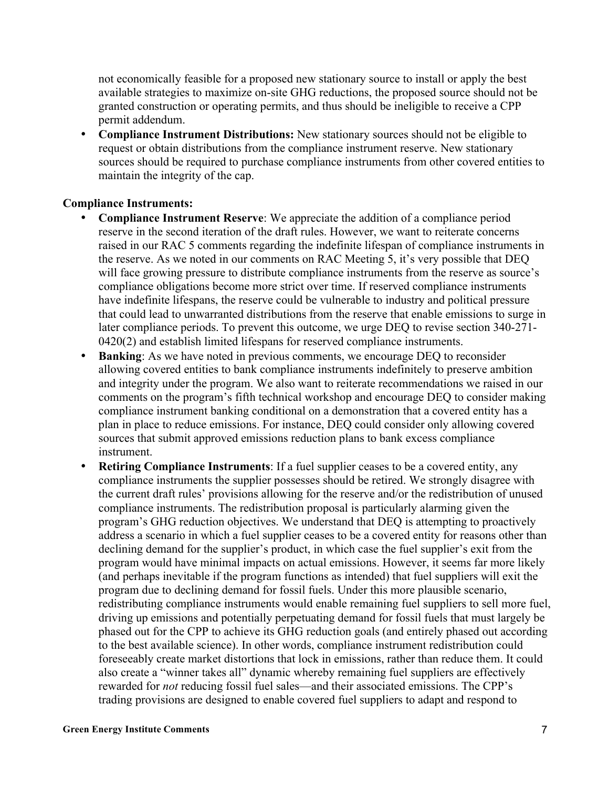not economically feasible for a proposed new stationary source to install or apply the best available strategies to maximize on-site GHG reductions, the proposed source should not be granted construction or operating permits, and thus should be ineligible to receive a CPP permit addendum.

• **Compliance Instrument Distributions:** New stationary sources should not be eligible to request or obtain distributions from the compliance instrument reserve. New stationary sources should be required to purchase compliance instruments from other covered entities to maintain the integrity of the cap.

#### **Compliance Instruments:**

- **Compliance Instrument Reserve**: We appreciate the addition of a compliance period reserve in the second iteration of the draft rules. However, we want to reiterate concerns raised in our RAC 5 comments regarding the indefinite lifespan of compliance instruments in the reserve. As we noted in our comments on RAC Meeting 5, it's very possible that DEQ will face growing pressure to distribute compliance instruments from the reserve as source's compliance obligations become more strict over time. If reserved compliance instruments have indefinite lifespans, the reserve could be vulnerable to industry and political pressure that could lead to unwarranted distributions from the reserve that enable emissions to surge in later compliance periods. To prevent this outcome, we urge DEQ to revise section 340-271- 0420(2) and establish limited lifespans for reserved compliance instruments.
- **Banking**: As we have noted in previous comments, we encourage DEQ to reconsider allowing covered entities to bank compliance instruments indefinitely to preserve ambition and integrity under the program. We also want to reiterate recommendations we raised in our comments on the program's fifth technical workshop and encourage DEQ to consider making compliance instrument banking conditional on a demonstration that a covered entity has a plan in place to reduce emissions. For instance, DEQ could consider only allowing covered sources that submit approved emissions reduction plans to bank excess compliance instrument.
- **Retiring Compliance Instruments**: If a fuel supplier ceases to be a covered entity, any compliance instruments the supplier possesses should be retired. We strongly disagree with the current draft rules' provisions allowing for the reserve and/or the redistribution of unused compliance instruments. The redistribution proposal is particularly alarming given the program's GHG reduction objectives. We understand that DEQ is attempting to proactively address a scenario in which a fuel supplier ceases to be a covered entity for reasons other than declining demand for the supplier's product, in which case the fuel supplier's exit from the program would have minimal impacts on actual emissions. However, it seems far more likely (and perhaps inevitable if the program functions as intended) that fuel suppliers will exit the program due to declining demand for fossil fuels. Under this more plausible scenario, redistributing compliance instruments would enable remaining fuel suppliers to sell more fuel, driving up emissions and potentially perpetuating demand for fossil fuels that must largely be phased out for the CPP to achieve its GHG reduction goals (and entirely phased out according to the best available science). In other words, compliance instrument redistribution could foreseeably create market distortions that lock in emissions, rather than reduce them. It could also create a "winner takes all" dynamic whereby remaining fuel suppliers are effectively rewarded for *not* reducing fossil fuel sales—and their associated emissions. The CPP's trading provisions are designed to enable covered fuel suppliers to adapt and respond to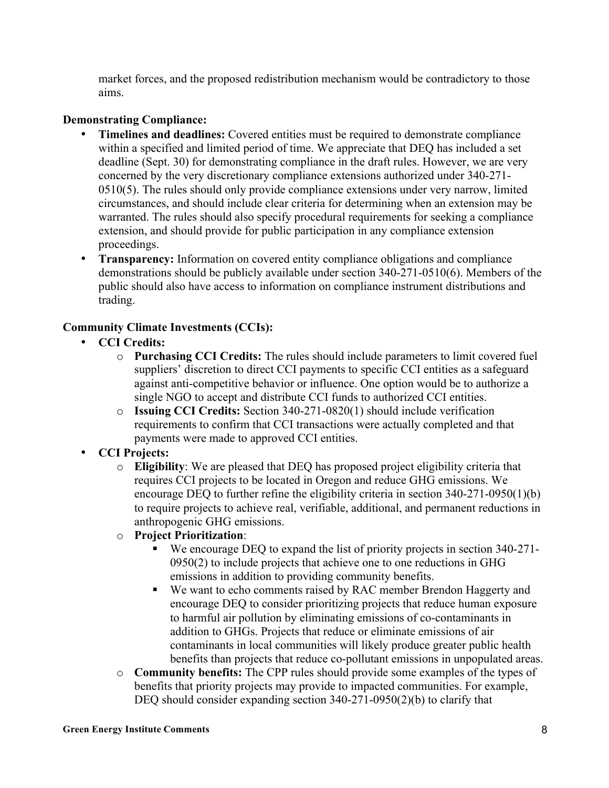market forces, and the proposed redistribution mechanism would be contradictory to those aims.

## **Demonstrating Compliance:**

- **Timelines and deadlines:** Covered entities must be required to demonstrate compliance within a specified and limited period of time. We appreciate that DEQ has included a set deadline (Sept. 30) for demonstrating compliance in the draft rules. However, we are very concerned by the very discretionary compliance extensions authorized under 340-271- 0510(5). The rules should only provide compliance extensions under very narrow, limited circumstances, and should include clear criteria for determining when an extension may be warranted. The rules should also specify procedural requirements for seeking a compliance extension, and should provide for public participation in any compliance extension proceedings.
- **Transparency:** Information on covered entity compliance obligations and compliance demonstrations should be publicly available under section 340-271-0510(6). Members of the public should also have access to information on compliance instrument distributions and trading.

## **Community Climate Investments (CCIs):**

- **CCI Credits:**
	- o **Purchasing CCI Credits:** The rules should include parameters to limit covered fuel suppliers' discretion to direct CCI payments to specific CCI entities as a safeguard against anti-competitive behavior or influence. One option would be to authorize a single NGO to accept and distribute CCI funds to authorized CCI entities.
	- o **Issuing CCI Credits:** Section 340-271-0820(1) should include verification requirements to confirm that CCI transactions were actually completed and that payments were made to approved CCI entities.
- **CCI Projects:**
	- o **Eligibility**: We are pleased that DEQ has proposed project eligibility criteria that requires CCI projects to be located in Oregon and reduce GHG emissions. We encourage DEQ to further refine the eligibility criteria in section 340-271-0950(1)(b) to require projects to achieve real, verifiable, additional, and permanent reductions in anthropogenic GHG emissions.
	- o **Project Prioritization**:
		- We encourage DEQ to expand the list of priority projects in section 340-271-0950(2) to include projects that achieve one to one reductions in GHG emissions in addition to providing community benefits.
		- § We want to echo comments raised by RAC member Brendon Haggerty and encourage DEQ to consider prioritizing projects that reduce human exposure to harmful air pollution by eliminating emissions of co-contaminants in addition to GHGs. Projects that reduce or eliminate emissions of air contaminants in local communities will likely produce greater public health benefits than projects that reduce co-pollutant emissions in unpopulated areas.
	- o **Community benefits:** The CPP rules should provide some examples of the types of benefits that priority projects may provide to impacted communities. For example, DEQ should consider expanding section 340-271-0950(2)(b) to clarify that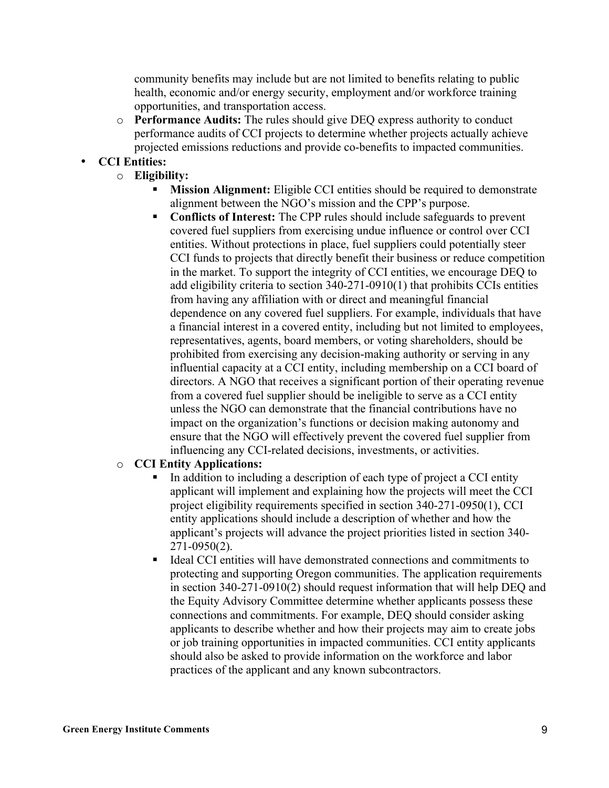community benefits may include but are not limited to benefits relating to public health, economic and/or energy security, employment and/or workforce training opportunities, and transportation access.

o **Performance Audits:** The rules should give DEQ express authority to conduct performance audits of CCI projects to determine whether projects actually achieve projected emissions reductions and provide co-benefits to impacted communities.

# • **CCI Entities:**

- o **Eligibility:**
	- **Mission Alignment:** Eligible CCI entities should be required to demonstrate alignment between the NGO's mission and the CPP's purpose.
	- § **Conflicts of Interest:** The CPP rules should include safeguards to prevent covered fuel suppliers from exercising undue influence or control over CCI entities. Without protections in place, fuel suppliers could potentially steer CCI funds to projects that directly benefit their business or reduce competition in the market. To support the integrity of CCI entities, we encourage DEQ to add eligibility criteria to section 340-271-0910(1) that prohibits CCIs entities from having any affiliation with or direct and meaningful financial dependence on any covered fuel suppliers. For example, individuals that have a financial interest in a covered entity, including but not limited to employees, representatives, agents, board members, or voting shareholders, should be prohibited from exercising any decision-making authority or serving in any influential capacity at a CCI entity, including membership on a CCI board of directors. A NGO that receives a significant portion of their operating revenue from a covered fuel supplier should be ineligible to serve as a CCI entity unless the NGO can demonstrate that the financial contributions have no impact on the organization's functions or decision making autonomy and ensure that the NGO will effectively prevent the covered fuel supplier from influencing any CCI-related decisions, investments, or activities.

### o **CCI Entity Applications:**

- In addition to including a description of each type of project a CCI entity applicant will implement and explaining how the projects will meet the CCI project eligibility requirements specified in section 340-271-0950(1), CCI entity applications should include a description of whether and how the applicant's projects will advance the project priorities listed in section 340- 271-0950(2).
- Ideal CCI entities will have demonstrated connections and commitments to protecting and supporting Oregon communities. The application requirements in section 340-271-0910(2) should request information that will help DEQ and the Equity Advisory Committee determine whether applicants possess these connections and commitments. For example, DEQ should consider asking applicants to describe whether and how their projects may aim to create jobs or job training opportunities in impacted communities. CCI entity applicants should also be asked to provide information on the workforce and labor practices of the applicant and any known subcontractors.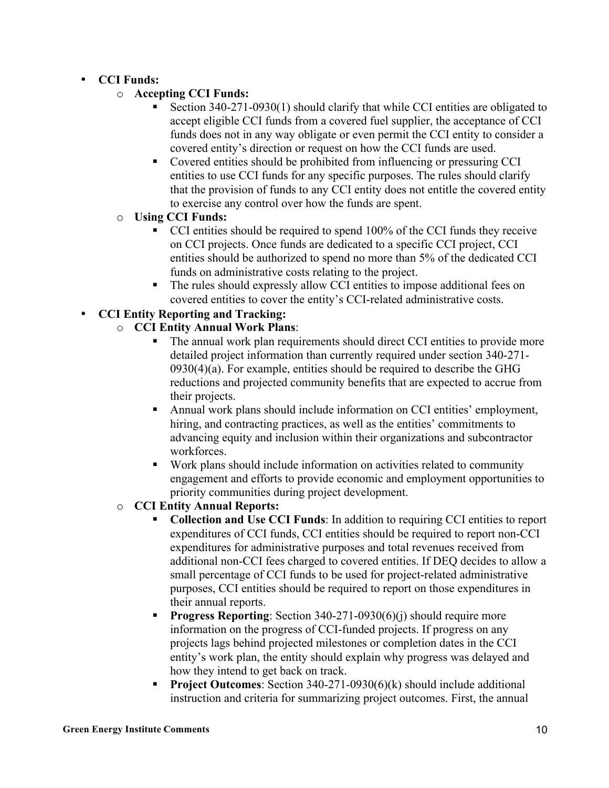## • **CCI Funds:**

- o **Accepting CCI Funds:**
	- § Section 340-271-0930(1) should clarify that while CCI entities are obligated to accept eligible CCI funds from a covered fuel supplier, the acceptance of CCI funds does not in any way obligate or even permit the CCI entity to consider a covered entity's direction or request on how the CCI funds are used.
	- Covered entities should be prohibited from influencing or pressuring CCI entities to use CCI funds for any specific purposes. The rules should clarify that the provision of funds to any CCI entity does not entitle the covered entity to exercise any control over how the funds are spent.
- o **Using CCI Funds:** 
	- § CCI entities should be required to spend 100% of the CCI funds they receive on CCI projects. Once funds are dedicated to a specific CCI project, CCI entities should be authorized to spend no more than 5% of the dedicated CCI funds on administrative costs relating to the project.
	- The rules should expressly allow CCI entities to impose additional fees on covered entities to cover the entity's CCI-related administrative costs.

# • **CCI Entity Reporting and Tracking:**

- o **CCI Entity Annual Work Plans**:
	- The annual work plan requirements should direct CCI entities to provide more detailed project information than currently required under section 340-271-  $0930(4)(a)$ . For example, entities should be required to describe the GHG reductions and projected community benefits that are expected to accrue from their projects.
	- § Annual work plans should include information on CCI entities' employment, hiring, and contracting practices, as well as the entities' commitments to advancing equity and inclusion within their organizations and subcontractor workforces.
	- Work plans should include information on activities related to community engagement and efforts to provide economic and employment opportunities to priority communities during project development.

### o **CCI Entity Annual Reports:**

- § **Collection and Use CCI Funds**: In addition to requiring CCI entities to report expenditures of CCI funds, CCI entities should be required to report non-CCI expenditures for administrative purposes and total revenues received from additional non-CCI fees charged to covered entities. If DEQ decides to allow a small percentage of CCI funds to be used for project-related administrative purposes, CCI entities should be required to report on those expenditures in their annual reports.
- **Progress Reporting**: Section 340-271-0930(6)(i) should require more information on the progress of CCI-funded projects. If progress on any projects lags behind projected milestones or completion dates in the CCI entity's work plan, the entity should explain why progress was delayed and how they intend to get back on track.
- § **Project Outcomes**: Section 340-271-0930(6)(k) should include additional instruction and criteria for summarizing project outcomes. First, the annual